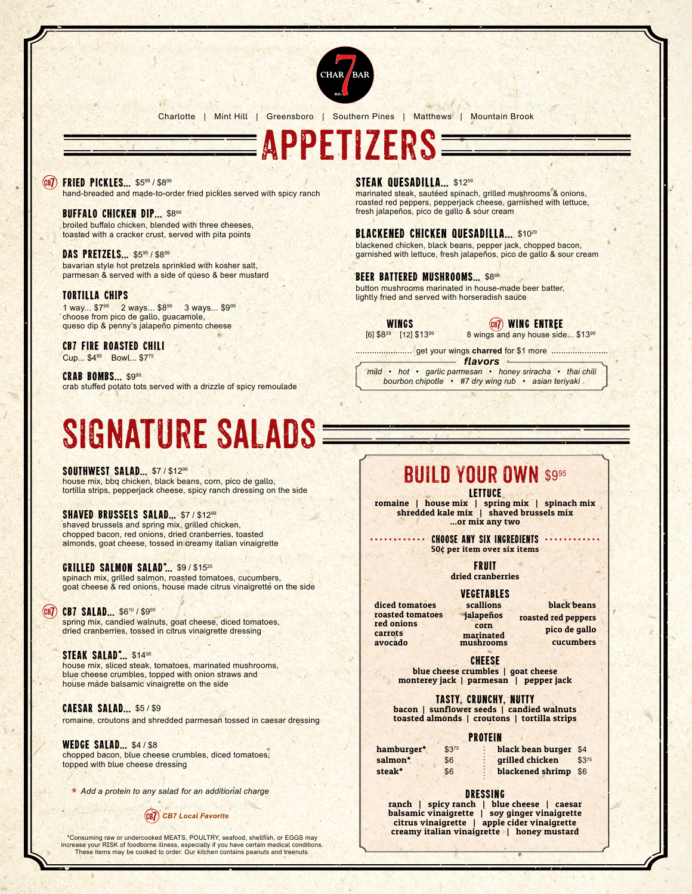

Charlotte | Mint Hill | Greensboro | Southern Pines | Matthews | Mountain Brook

Appetizers

#### $(CB)$ **FRIED PICKLES... \$599 / \$899**

hand-breaded and made-to-order fried pickles served with spicy ranch

#### **BUFFALO CHICKEN DIP... \$899**

broiled buffalo chicken, blended with three cheeses, toasted with a cracker crust, served with pita points

# DAS PRETZELS... \$599 / \$899

bavarian style hot pretzels sprinkled with kosher salt, parmesan & served with a side of queso & beer mustard

#### tortilla chips

1 way... \$7<sup>99</sup> 2 ways... \$8<sup>99</sup> 3 ways... \$9<sup>99</sup> choose from pico de gallo, guacamole, queso dip & penny's jalapeño pimento cheese

CB7 Fire Roasted Chili

Cup... \$4<sup>95</sup> Bowl... \$775

CRAB BOMBS... \$999 crab stuffed potato tots served with a drizzle of spicy remoulade

# Signature Salads

**SOUTHWEST SALAD... \$7/\$1299** house mix, bbq chicken, black beans, corn, pico de gallo, tortilla strips, pepperjack cheese, spicy ranch dressing on the side

#### SHAVED BRUSSELS SALAD... \$7/\$1299

shaved brussels and spring mix, grilled chicken, chopped bacon, red onions, dried cranberries, toasted almonds, goat cheese, tossed in creamy italian vinaigrette

## GRILLED SALMON SALAD<sup>\*</sup>... \$9/\$1520

spinach mix, grilled salmon, roasted tomatoes, cucumbers, goat cheese & red onions, house made citrus vinaigrette on the side

#### CB7 SALAD... \$610 / \$995

spring mix, candied walnuts, goat cheese, diced tomatoes, dried cranberries, tossed in citrus vinaigrette dressing

## STEAK SALAD\*... \$1495

house mix, sliced steak, tomatoes, marinated mushrooms, blue cheese crumbles, topped with onion straws and house made balsamic vinaigrette on the side

#### caesar salad... \$5 / \$9

romaine, croutons and shredded parmesan tossed in caesar dressing

WEDGE SALAD... \$4/\$8 chopped bacon, blue cheese crumbles, diced tomatoes, topped with blue cheese dressing

• *Add a protein to any salad for an additional charge*

# *CB7 Local Favorite*

\*Consuming raw or undercooked MEATS, POULTRY, seafood, shellfish, or EGGS may increase your RISK of foodborne illness, especially if you have certain medical conditions. These items may be cooked to order. Our kitchen contains peanuts and treenuts.

# STEAK QUESADILLA... \$1259

marinated steak, sautéed spinach, grilled mushrooms & onions, roasted red peppers, pepperjack cheese, garnished with lettuce, fresh jalapeños, pico de gallo & sour cream

# BLACKENED CHICKEN QUESADILLA... \$1029

blackened chicken, black beans, pepper jack, chopped bacon, garnished with lettuce, fresh jalapeños, pico de gallo & sour cream

#### BEER BATTERED MUSHROOMS... \$899

button mushrooms marinated in house-made beer batter, lightly fried and served with horseradish sauce

wings [6] \$8<sup>29</sup> [12] \$13<sup>99</sup> wing Entree

8 wings and any house side... \$1399

get your wings **charred** for \$1 more *flavors*

*mild • hot • garlic parmesan • honey sriracha • thai chili bourbon chipotle • #7 dry wing rub • asian teriyaki*

# BUILD YOUR OWN \$995

lettuce

romaine | house mix | spring mix | spinach mix shredded kale mix | shaved brussels mix ...or mix any two

> **CHOOSE ANY SIX INGREDIENTS .** 50¢ per item over six items

> > **FRUIT** dried cranberries

diced tomatoes roasted tomatoes red onions carrots

avocado

Vegetables scallions

jalapeños corn marinated mushrooms

black beans roasted red peppers pico de gallo cucumbers

**CHEESE** blue cheese crumbles | goat cheese

monterey jack | parmesan | pepper jack

Tasty, Crunchy, nutty

bacon | sunflower seeds | candied walnuts toasted almonds | croutons | tortilla strips

# protein

| hamburger* | $$3^{75}$ | black bean burger \$4 |           |
|------------|-----------|-----------------------|-----------|
| salmon*    | \$6       | grilled chicken       | $$3^{75}$ |
| steak*     | \$6       | blackened shrimp \$6  |           |

#### dressing

ranch | spicy ranch | blue cheese | caesar balsamic vinaigrette | soy ginger vinaigrette citrus vinaigrette | apple cider vinaigrette creamy italian vinaigrette | honey mustard